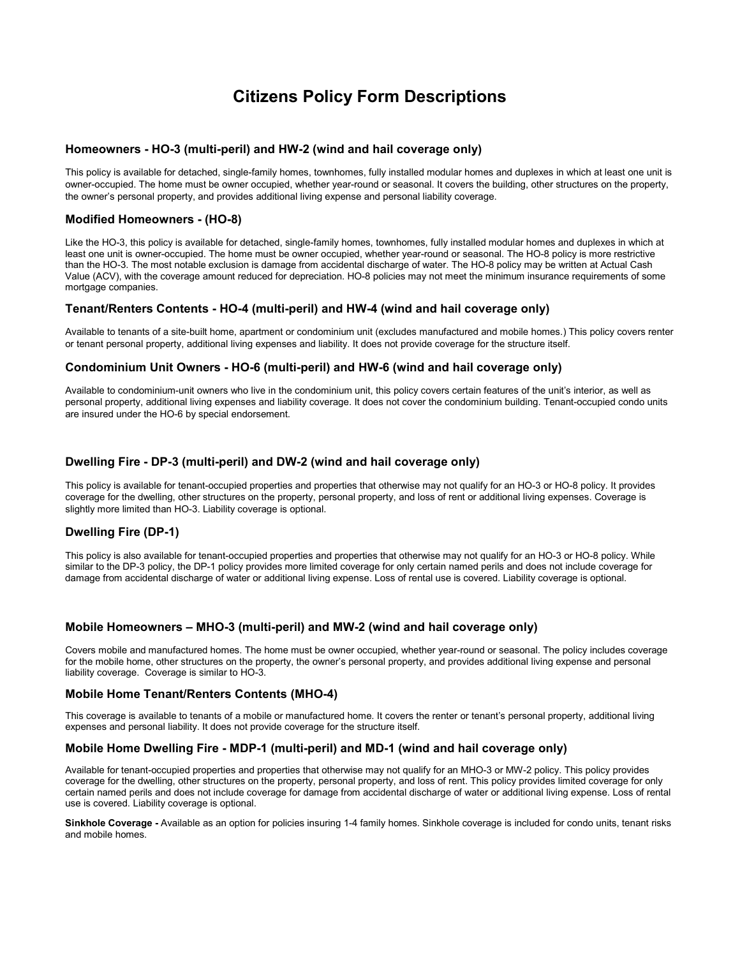# **Citizens Policy Form Descriptions**

#### **Homeowners - HO-3 (multi-peril) and HW-2 (wind and hail coverage only)**

This policy is available for detached, single-family homes, townhomes, fully installed modular homes and duplexes in which at least one unit is owner-occupied. The home must be owner occupied, whether year-round or seasonal. It covers the building, other structures on the property, the owner's personal property, and provides additional living expense and personal liability coverage.

# **Modified Homeowners - (HO-8)**

Like the HO-3, this policy is available for detached, single-family homes, townhomes, fully installed modular homes and duplexes in which at least one unit is owner-occupied. The home must be owner occupied, whether year-round or seasonal. The HO-8 policy is more restrictive than the HO-3. The most notable exclusion is damage from accidental discharge of water. The HO-8 policy may be written at Actual Cash Value (ACV), with the coverage amount reduced for depreciation. HO-8 policies may not meet the minimum insurance requirements of some mortgage companies.

#### **Tenant/Renters Contents - HO-4 (multi-peril) and HW-4 (wind and hail coverage only)**

Available to tenants of a site-built home, apartment or condominium unit (excludes manufactured and mobile homes.) This policy covers renter or tenant personal property, additional living expenses and liability. It does not provide coverage for the structure itself.

#### **Condominium Unit Owners - HO-6 (multi-peril) and HW-6 (wind and hail coverage only)**

Available to condominium-unit owners who live in the condominium unit, this policy covers certain features of the unit's interior, as well as personal property, additional living expenses and liability coverage. It does not cover the condominium building. Tenant-occupied condo units are insured under the HO-6 by special endorsement.

# **Dwelling Fire - DP-3 (multi-peril) and DW-2 (wind and hail coverage only)**

This policy is available for tenant-occupied properties and properties that otherwise may not qualify for an HO-3 or HO-8 policy. It provides coverage for the dwelling, other structures on the property, personal property, and loss of rent or additional living expenses. Coverage is slightly more limited than HO-3. Liability coverage is optional.

# **Dwelling Fire (DP-1)**

This policy is also available for tenant-occupied properties and properties that otherwise may not qualify for an HO-3 or HO-8 policy. While similar to the DP-3 policy, the DP-1 policy provides more limited coverage for only certain named perils and does not include coverage for damage from accidental discharge of water or additional living expense. Loss of rental use is covered. Liability coverage is optional.

# **Mobile Homeowners – MHO-3 (multi-peril) and MW-2 (wind and hail coverage only)**

Covers mobile and manufactured homes. The home must be owner occupied, whether year-round or seasonal. The policy includes coverage for the mobile home, other structures on the property, the owner's personal property, and provides additional living expense and personal liability coverage. Coverage is similar to HO-3.

#### **Mobile Home Tenant/Renters Contents (MHO-4)**

This coverage is available to tenants of a mobile or manufactured home. It covers the renter or tenant's personal property, additional living expenses and personal liability. It does not provide coverage for the structure itself.

#### **Mobile Home Dwelling Fire - MDP-1 (multi-peril) and MD-1 (wind and hail coverage only)**

Available for tenant-occupied properties and properties that otherwise may not qualify for an MHO-3 or MW-2 policy. This policy provides coverage for the dwelling, other structures on the property, personal property, and loss of rent. This policy provides limited coverage for only certain named perils and does not include coverage for damage from accidental discharge of water or additional living expense. Loss of rental use is covered. Liability coverage is optional.

**Sinkhole Coverage -** Available as an option for policies insuring 1-4 family homes. Sinkhole coverage is included for condo units, tenant risks and mobile homes.